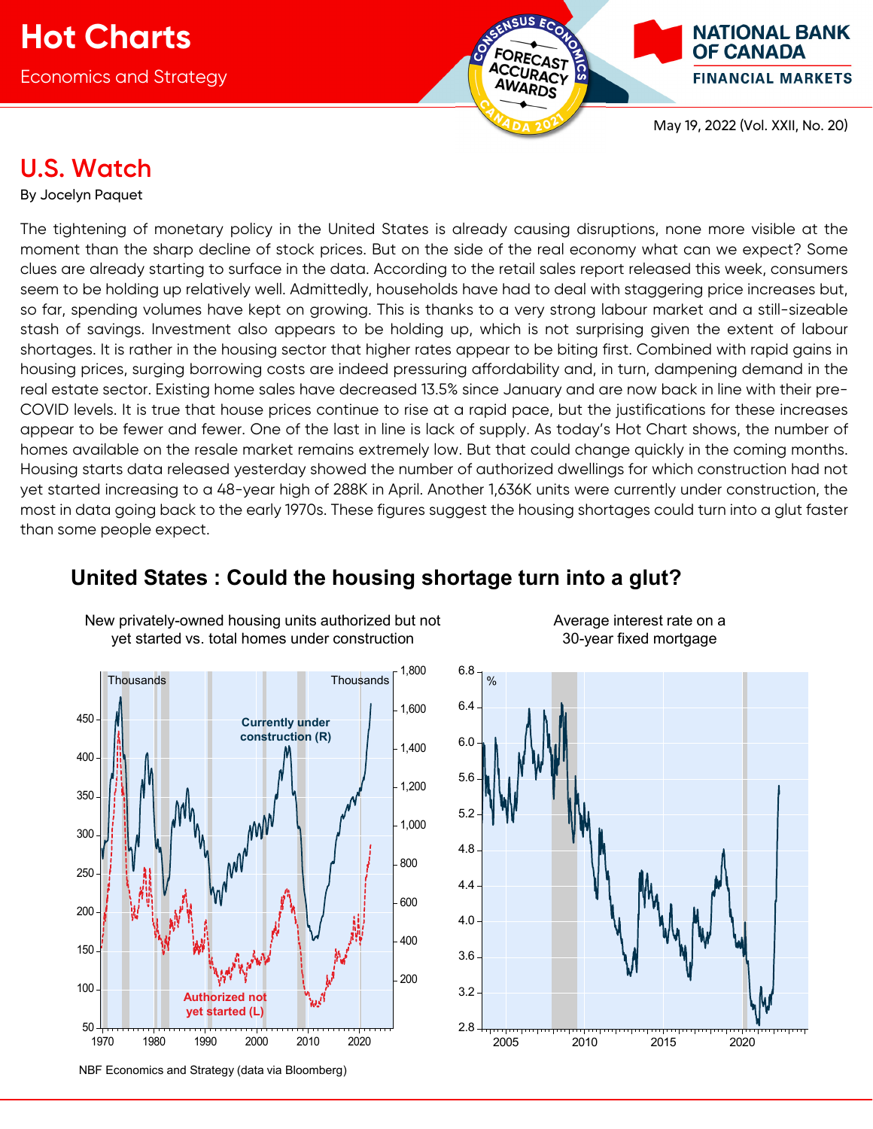

# **U.S. Watch**

By Jocelyn Paquet

The tightening of monetary policy in the United States is already causing disruptions, none more visible at the moment than the sharp decline of stock prices. But on the side of the real economy what can we expect? Some clues are already starting to surface in the data. According to the retail sales report released this week, consumers seem to be holding up relatively well. Admittedly, households have had to deal with staggering price increases but, so far, spending volumes have kept on growing. This is thanks to a very strong labour market and a still-sizeable stash of savings. Investment also appears to be holding up, which is not surprising given the extent of labour shortages. It is rather in the housing sector that higher rates appear to be biting first. Combined with rapid gains in housing prices, surging borrowing costs are indeed pressuring affordability and, in turn, dampening demand in the real estate sector. Existing home sales have decreased 13.5% since January and are now back in line with their pre-COVID levels. It is true that house prices continue to rise at a rapid pace, but the justifications for these increases appear to be fewer and fewer. One of the last in line is lack of supply. As today's Hot Chart shows, the number of homes available on the resale market remains extremely low. But that could change quickly in the coming months. Housing starts data released yesterday showed the number of authorized dwellings for which construction had not yet started increasing to a 48-year high of 288K in April. Another 1,636K units were currently under construction, the most in data going back to the early 1970s. These figures suggest the housing shortages could turn into a glut faster than some people expect.



New privately-owned housing units authorized but not yet started vs. total homes under construction

# **United States : Could the housing shortage turn into a glut?**

Average interest rate on a 30-year fixed mortgage



NBF Economics and Strategy (data via Bloomberg)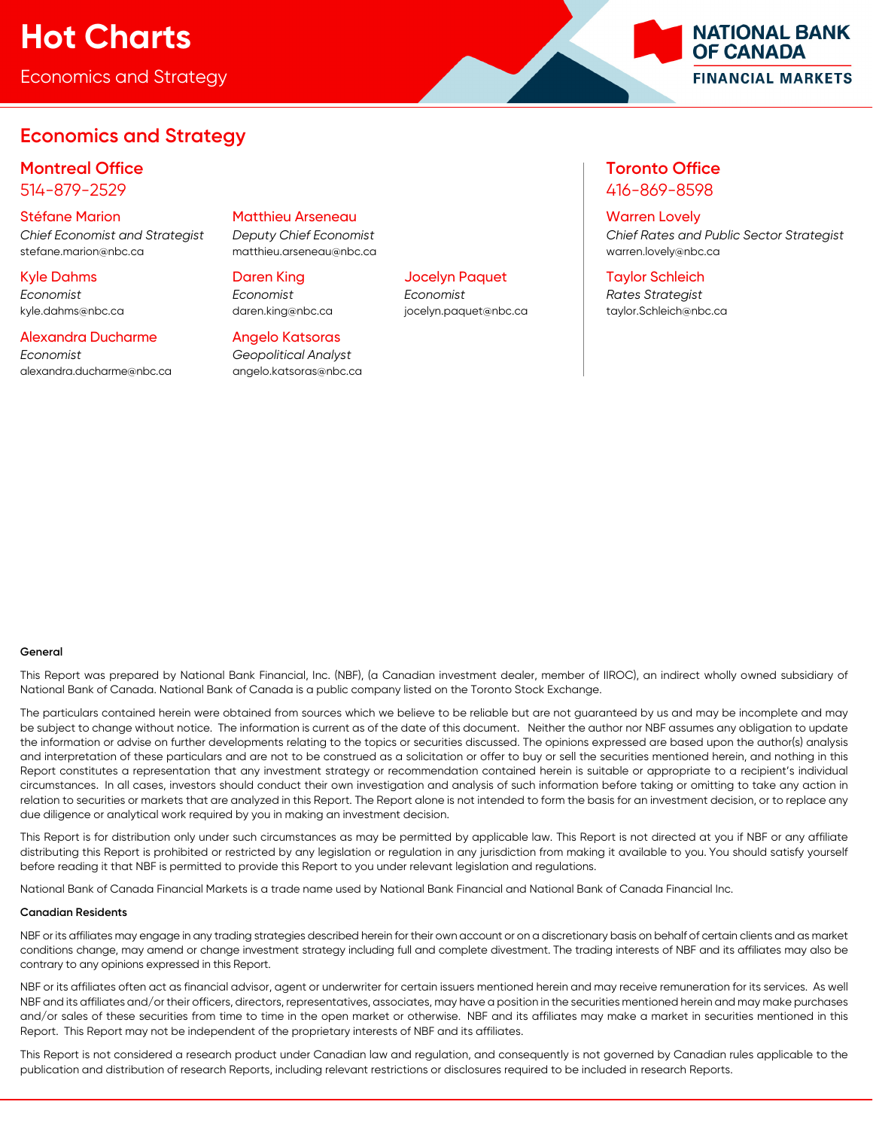# **Hot Charts**

Economics and Strategy

# **Economics and Strategy**

# **Montreal Office Toronto Office** 514-879-2529 416-869-8598

stefane.marion@nbc.ca matthieu.arseneau@nbc.ca warren.lovely@nbc.ca

# Alexandra Ducharme Angelo Katsoras

*Economist Geopolitical Analyst*  alexandra.ducharme@nbc.ca angelo.katsoras@nbc.ca

# Stéfane Marion Matthieu Arseneau Warren Lovely

*Economist Economist Economist Rates Strategist* 

*Chief Economist and Strategist Deputy Chief Economist Chief Rates and Public Sector Strategist* 

**NATIONAL BANK OF CANADA** 

**FINANCIAL MARKETS** 

# Kyle Dahms Daren King Jocelyn Paquet Taylor Schleich

kyle.dahms@nbc.ca daren.king@nbc.ca jocelyn.paquet@nbc.ca taylor.Schleich@nbc.ca

## **General**

This Report was prepared by National Bank Financial, Inc. (NBF), (a Canadian investment dealer, member of IIROC), an indirect wholly owned subsidiary of National Bank of Canada. National Bank of Canada is a public company listed on the Toronto Stock Exchange.

The particulars contained herein were obtained from sources which we believe to be reliable but are not guaranteed by us and may be incomplete and may be subject to change without notice. The information is current as of the date of this document. Neither the author nor NBF assumes any obligation to update the information or advise on further developments relating to the topics or securities discussed. The opinions expressed are based upon the author(s) analysis and interpretation of these particulars and are not to be construed as a solicitation or offer to buy or sell the securities mentioned herein, and nothing in this Report constitutes a representation that any investment strategy or recommendation contained herein is suitable or appropriate to a recipient's individual circumstances. In all cases, investors should conduct their own investigation and analysis of such information before taking or omitting to take any action in relation to securities or markets that are analyzed in this Report. The Report alone is not intended to form the basis for an investment decision, or to replace any due diligence or analytical work required by you in making an investment decision.

This Report is for distribution only under such circumstances as may be permitted by applicable law. This Report is not directed at you if NBF or any affiliate distributing this Report is prohibited or restricted by any legislation or regulation in any jurisdiction from making it available to you. You should satisfy yourself before reading it that NBF is permitted to provide this Report to you under relevant legislation and regulations.

National Bank of Canada Financial Markets is a trade name used by National Bank Financial and National Bank of Canada Financial Inc.

## **Canadian Residents**

NBF or its affiliates may engage in any trading strategies described herein for their own account or on a discretionary basis on behalf of certain clients and as market conditions change, may amend or change investment strategy including full and complete divestment. The trading interests of NBF and its affiliates may also be contrary to any opinions expressed in this Report.

NBF or its affiliates often act as financial advisor, agent or underwriter for certain issuers mentioned herein and may receive remuneration for its services. As well NBF and its affiliates and/or their officers, directors, representatives, associates, may have a position in the securities mentioned herein and may make purchases and/or sales of these securities from time to time in the open market or otherwise. NBF and its affiliates may make a market in securities mentioned in this Report. This Report may not be independent of the proprietary interests of NBF and its affiliates.

This Report is not considered a research product under Canadian law and regulation, and consequently is not governed by Canadian rules applicable to the publication and distribution of research Reports, including relevant restrictions or disclosures required to be included in research Reports.